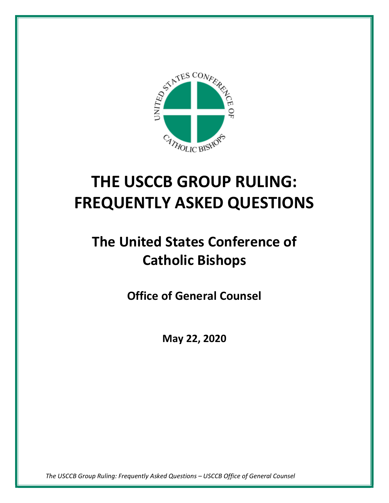

# **THE USCCB GROUP RULING: FREQUENTLY ASKED QUESTIONS**

# **The United States Conference of Catholic Bishops**

**Office of General Counsel**

**May 22, 2020**

*The USCCB Group Ruling: Frequently Asked Questions – USCCB Office of General Counsel*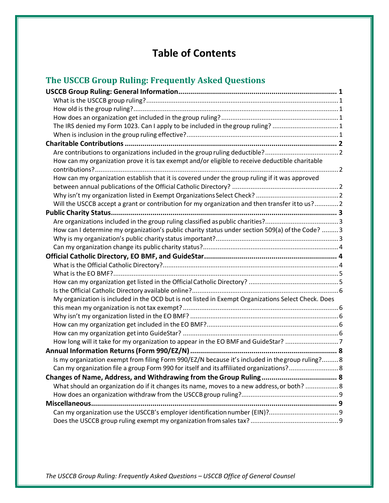## **Table of Contents**

## **The USCCB Group Ruling: Frequently Asked Questions**

| The IRS denied my Form 1023. Can I apply to be included in the group ruling? 1                      |  |
|-----------------------------------------------------------------------------------------------------|--|
|                                                                                                     |  |
|                                                                                                     |  |
| Are contributions to organizations included in the group ruling deductible?2                        |  |
| How can my organization prove it is tax exempt and/or eligible to receive deductible charitable     |  |
|                                                                                                     |  |
| How can my organization establish that it is covered under the group ruling if it was approved      |  |
|                                                                                                     |  |
|                                                                                                     |  |
| Will the USCCB accept a grant or contribution for my organization and then transfer it to us? 2     |  |
|                                                                                                     |  |
|                                                                                                     |  |
| How can I determine my organization's public charity status under section 509(a) of the Code?  3    |  |
|                                                                                                     |  |
|                                                                                                     |  |
|                                                                                                     |  |
|                                                                                                     |  |
|                                                                                                     |  |
|                                                                                                     |  |
|                                                                                                     |  |
|                                                                                                     |  |
| My organization is included in the OCD but is not listed in Exempt Organizations Select Check. Does |  |
|                                                                                                     |  |
|                                                                                                     |  |
|                                                                                                     |  |
|                                                                                                     |  |
| How long will it take for my organization to appear in the EO BMF and GuideStar? 7                  |  |
|                                                                                                     |  |
| Is my organization exempt from filing Form 990/EZ/N because it's included in the group ruling? 8    |  |
| Can my organization file a group Form 990 for itself and its affiliated organizations?8             |  |
|                                                                                                     |  |
| What should an organization do if it changes its name, moves to a new address, or both?  8          |  |
|                                                                                                     |  |
|                                                                                                     |  |
|                                                                                                     |  |

*The USCCB Group Ruling: Frequently Asked Questions – USCCB Office of General Counsel*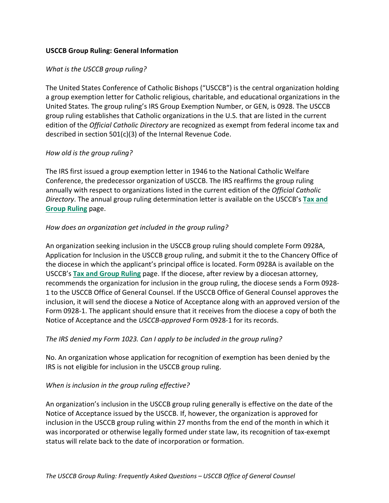#### <span id="page-2-0"></span>**USCCB Group Ruling: General Information**

#### <span id="page-2-1"></span>*What is the USCCB group ruling?*

The United States Conference of Catholic Bishops ("USCCB") is the central organization holding a group exemption letter for Catholic religious, charitable, and educational organizations in the United States. The group ruling's IRS Group Exemption Number, or GEN, is 0928. The USCCB group ruling establishes that Catholic organizations in the U.S. that are listed in the current edition of the *Official Catholic Directory* are recognized as exempt from federal income tax and described in section 501(c)(3) of the Internal Revenue Code.

#### <span id="page-2-2"></span>*How old is the group ruling?*

The IRS first issued a group exemption letter in 1946 to the National Catholic Welfare Conference, the predecessor organization of USCCB. The IRS reaffirms the group ruling annually with respect to organizations listed in the current edition of the *Official Catholic Directory*. The annual group ruling determination letter is available on the USCCB's **[Tax and](http://www.usccb.org/about/general-counsel/tax-and-group-ruling.cfm) [Group Ruling](http://www.usccb.org/about/general-counsel/tax-and-group-ruling.cfm)** page.

## <span id="page-2-3"></span>*How does an organization get included in the group ruling?*

An organization seeking inclusion in the USCCB group ruling should complete Form 0928A, Application for Inclusion in the USCCB group ruling, and submit it the to the Chancery Office of the diocese in which the applicant's principal office is located. Form 0928A is available on the USCCB's **[Tax and Group Ruling](http://www.usccb.org/about/general-counsel/tax-and-group-ruling.cfm)** page. If the diocese, after review by a diocesan attorney, recommends the organization for inclusion in the group ruling, the diocese sends a Form 0928- 1 to the USCCB Office of General Counsel. If the USCCB Office of General Counsel approves the inclusion, it will send the diocese a Notice of Acceptance along with an approved version of the Form 0928-1. The applicant should ensure that it receives from the diocese a copy of both the Notice of Acceptance and the *USCCB-approved* Form 0928-1 for its records.

#### <span id="page-2-4"></span>*The IRS denied my Form 1023. Can I apply to be included in the group ruling?*

No. An organization whose application for recognition of exemption has been denied by the IRS is not eligible for inclusion in the USCCB group ruling.

#### <span id="page-2-5"></span>*When is inclusion in the group ruling effective?*

An organization's inclusion in the USCCB group ruling generally is effective on the date of the Notice of Acceptance issued by the USCCB. If, however, the organization is approved for inclusion in the USCCB group ruling within 27 months from the end of the month in which it was incorporated or otherwise legally formed under state law, its recognition of tax-exempt status will relate back to the date of incorporation or formation.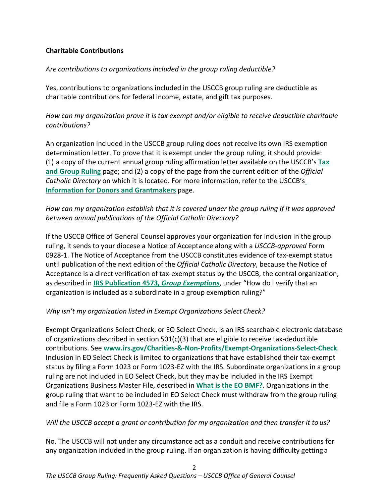## <span id="page-3-0"></span>**Charitable Contributions**

## <span id="page-3-1"></span>*Are contributions to organizations included in the group ruling deductible?*

Yes, contributions to organizations included in the USCCB group ruling are deductible as charitable contributions for federal income, estate, and gift tax purposes.

<span id="page-3-2"></span>*How can my organization prove it is tax exempt and/or eligible to receive deductible charitable contributions?*

An organization included in the USCCB group ruling does not receive its own IRS exemption determination letter. To prove that it is exempt under the group ruling, it should provide: (1) a copy of the current annual group ruling affirmation letter available on the USCCB's **[Tax](http://www.usccb.org/about/general-counsel/tax-and-group-ruling.cfm) [and Group Ruling](http://www.usccb.org/about/general-counsel/tax-and-group-ruling.cfm)** page; and (2) a copy of the page from the current edition of the *Official Catholic Directory* on which it is located. For more information, refer to the USCCB'[s](http://www.usccb.org/about/general-counsel/information-for-donors-and-grantmakers.cfm) **[Information for Donors and Grantmakers](http://www.usccb.org/about/general-counsel/information-for-donors-and-grantmakers.cfm)** page.

## <span id="page-3-3"></span>*How can my organization establish that it is covered under the group ruling if it was approved between annual publications of the Official Catholic Directory?*

If the USCCB Office of General Counsel approves your organization for inclusion in the group ruling, it sends to your diocese a Notice of Acceptance along with a *USCCB-approved* Form 0928-1. The Notice of Acceptance from the USCCB constitutes evidence of tax-exempt status until publication of the next edition of the *Official Catholic Directory*, because the Notice of Acceptance is a direct verification of tax-exempt status by the USCCB, the central organization, as described in **[IRS Publication 4573,](http://www.irs.gov/pub/irs-pdf/p4573.pdf)** *Group Exemptions*, under "How do I verify that an organization is included as a subordinate in a group exemption ruling?"

## <span id="page-3-4"></span>*Why isn't my organization listed in Exempt Organizations Select Check?*

Exempt Organizations Select Check, or EO Select Check, is an IRS searchable electronic database of organizations described in section 501(c)(3) that are eligible to receive tax-deductible contributions. See **[www.irs.gov/Charities-&-Non-Profits/Exempt-Organizations-Select-Check](http://www.irs.gov/Charities-%26-Non-Profits/Exempt-Organizations-Select-Check)**. Inclusion in EO Select Check is limited to organizations that have established their tax-exempt status by filing a Form 1023 or Form 1023-EZ with the IRS. Subordinate organizations in a group ruling are not included in EO Select Check, but they may be included in the IRS Exempt Organizations Business Master File, described in **[What is the EO BMF?](#page-6-0)**. Organizations in the group ruling that want to be included in EO Select Check must withdraw from the group ruling and file a Form 1023 or Form 1023-EZ with the IRS.

## <span id="page-3-5"></span>*Will the USCCB accept a grant or contribution for my organization and then transfer it to us?*

No. The USCCB will not under any circumstance act as a conduit and receive contributions for any organization included in the group ruling. If an organization is having difficulty getting a

 $\mathcal{P}$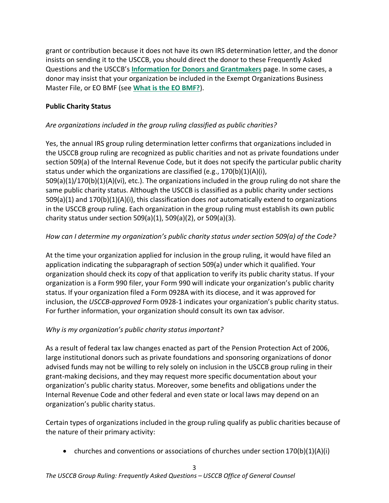grant or contribution because it does not have its own IRS determination letter, and the donor insists on sending it to the USCCB, you should direct the donor to these Frequently Asked Questions and the USCCB's **[Information for Donors and Grantmakers](http://www.usccb.org/about/general-counsel/information-for-donors-and-grantmakers.cfm)** page. In some cases, a donor may insist that your organization be included in the Exempt Organizations Business Master File, or EO BMF (see **[What is the EO BMF?](#page-6-0)**).

## <span id="page-4-0"></span>**Public Charity Status**

## <span id="page-4-1"></span>*Are organizations included in the group ruling classified as public charities?*

Yes, the annual IRS group ruling determination letter confirms that organizations included in the USCCB group ruling are recognized as public charities and not as private foundations under section 509(a) of the Internal Revenue Code, but it does not specify the particular public charity status under which the organizations are classified (e.g., 170(b)(1)(A)(i), 509(a)(1)/170(b)(1)(A)(vi), etc.). The organizations included in the group ruling do not share the same public charity status. Although the USCCB is classified as a public charity under sections 509(a)(1) and 170(b)(1)(A)(i), this classification does *not* automatically extend to organizations

in the USCCB group ruling. Each organization in the group ruling must establish its own public charity status under section 509(a)(1), 509(a)(2), or 509(a)(3).

## <span id="page-4-2"></span>*How can I determine my organization's public charity status under section 509(a) of the Code?*

At the time your organization applied for inclusion in the group ruling, it would have filed an application indicating the subparagraph of section 509(a) under which it qualified. Your organization should check its copy of that application to verify its public charity status. If your organization is a Form 990 filer, your Form 990 will indicate your organization's public charity status. If your organization filed a Form 0928A with its diocese, and it was approved for inclusion, the *USCCB-approved* Form 0928-1 indicates your organization's public charity status. For further information, your organization should consult its own tax advisor.

## <span id="page-4-3"></span>*Why is my organization's public charity status important?*

As a result of federal tax law changes enacted as part of the Pension Protection Act of 2006, large institutional donors such as private foundations and sponsoring organizations of donor advised funds may not be willing to rely solely on inclusion in the USCCB group ruling in their grant-making decisions, and they may request more specific documentation about your organization's public charity status. Moreover, some benefits and obligations under the Internal Revenue Code and other federal and even state or local laws may depend on an organization's public charity status.

Certain types of organizations included in the group ruling qualify as public charities because of the nature of their primary activity:

• churches and conventions or associations of churches under section  $170(b)(1)(A)(i)$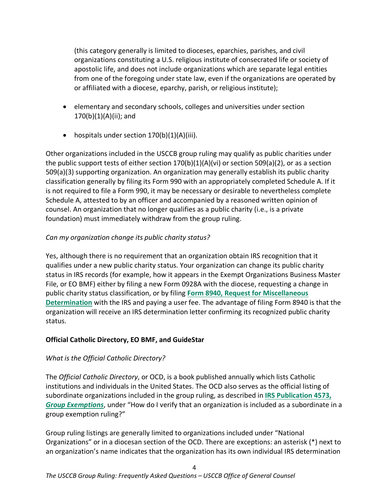(this category generally is limited to dioceses, eparchies, parishes, and civil organizations constituting a U.S. religious institute of consecrated life or society of apostolic life, and does not include organizations which are separate legal entities from one of the foregoing under state law, even if the organizations are operated by or affiliated with a diocese, eparchy, parish, or religious institute);

- elementary and secondary schools, colleges and universities under section 170(b)(1)(A)(ii); and
- hospitals under section 170(b)(1)(A)(iii).

Other organizations included in the USCCB group ruling may qualify as public charities under the public support tests of either section  $170(b)(1)(A)(vi)$  or section 509(a)(2), or as a section 509(a)(3) supporting organization. An organization may generally establish its public charity classification generally by filing its Form 990 with an appropriately completed Schedule A. If it is not required to file a Form 990, it may be necessary or desirable to nevertheless complete Schedule A, attested to by an officer and accompanied by a reasoned written opinion of counsel. An organization that no longer qualifies as a public charity (i.e., is a private foundation) must immediately withdraw from the group ruling.

## <span id="page-5-0"></span>*Can my organization change its public charity status?*

Yes, although there is no requirement that an organization obtain IRS recognition that it qualifies under a new public charity status. Your organization can change its public charity status in IRS records (for example, how it appears in the Exempt Organizations Business Master File, or EO BMF) either by filing a new Form 0928A with the diocese, requesting a change in public charity status classification, or by filing **[Form 8940, Request for Miscellaneous](http://www.irs.gov/pub/irs-pdf/f8940.pdf) [Determination](http://www.irs.gov/pub/irs-pdf/f8940.pdf)** with the IRS and paying a user fee. The advantage of filing Form 8940 is that the organization will receive an IRS determination letter confirming its recognized public charity status.

## <span id="page-5-1"></span>**Official Catholic Directory, EO BMF, and GuideStar**

## <span id="page-5-2"></span>*What is the Official Catholic Directory?*

The *Official Catholic Directory*, or OCD, is a book published annually which lists Catholic institutions and individuals in the United States. The OCD also serves as the official listing of subordinate organizations included in the group ruling, as described in **[IRS Publication 4573,](http://www.irs.gov/pub/irs-pdf/p4573.pdf)** *[Group Exemptions](http://www.irs.gov/pub/irs-pdf/p4573.pdf)*, under "How do I verify that an organization is included as a subordinate in a group exemption ruling?"

Group ruling listings are generally limited to organizations included under "National Organizations" or in a diocesan section of the OCD. There are exceptions: an asterisk (\*) next to an organization's name indicates that the organization has its own individual IRS determination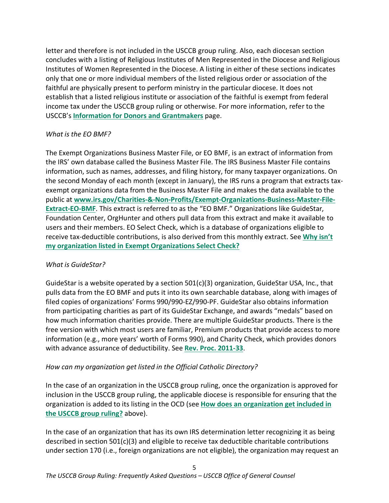letter and therefore is not included in the USCCB group ruling. Also, each diocesan section concludes with a listing of Religious Institutes of Men Represented in the Diocese and Religious Institutes of Women Represented in the Diocese. A listing in either of these sections indicates only that one or more individual members of the listed religious order or association of the faithful are physically present to perform ministry in the particular diocese. It does not establish that a listed religious institute or association of the faithful is exempt from federal income tax under the USCCB group ruling or otherwise. For more information, refer to the USCCB's **[Information for Donors and Grantmakers](http://www.usccb.org/about/general-counsel/information-for-donors-and-grantmakers.cfm)** page.

## <span id="page-6-0"></span>*What is the EO BMF?*

The Exempt Organizations Business Master File, or EO BMF, is an extract of information from the IRS' own database called the Business Master File. The IRS Business Master File contains information, such as names, addresses, and filing history, for many taxpayer organizations. On the second Monday of each month (except in January), the IRS runs a program that extracts taxexempt organizations data from the Business Master File and makes the data available to the public at **[www.irs.gov/Charities-&-Non-Profits/Exempt-Organizations-Business-Master-File-](http://www.irs.gov/Charities-%26-Non-Profits/Exempt-Organizations-Business-Master-File-Extract-EO-BMF)[Extract-EO-BMF](http://www.irs.gov/Charities-%26-Non-Profits/Exempt-Organizations-Business-Master-File-Extract-EO-BMF)**. This extract is referred to as the "EO BMF." Organizations like GuideStar, Foundation Center, OrgHunter and others pull data from this extract and make it available to users and their members. EO Select Check, which is a database of organizations eligible to receive tax-deductible contributions, is also derived from this monthly extract. See **[Why isn't](#page-3-4) [my organization listed in Exempt Organizations Select](#page-3-4) Check?**

## *What is GuideStar?*

GuideStar is a website operated by a section  $501(c)(3)$  organization, GuideStar USA, Inc., that pulls data from the EO BMF and puts it into its own searchable database, along with images of filed copies of organizations' Forms 990/990-EZ/990-PF. GuideStar also obtains information from participating charities as part of its GuideStar Exchange, and awards "medals" based on how much information charities provide. There are multiple GuideStar products. There is the free version with which most users are familiar, Premium products that provide access to more information (e.g., more years' worth of Forms 990), and Charity Check, which provides donors with advance assurance of deductibility. See **[Rev. Proc. 2011-33](https://www.irs.gov/pub/irs-drop/rp-11-33.pdf)**.

## <span id="page-6-1"></span>*How can my organization get listed in the Official Catholic Directory?*

In the case of an organization in the USCCB group ruling, once the organization is approved for inclusion in the USCCB group ruling, the applicable diocese is responsible for ensuring that the organization is added to its listing in the OCD (see **[How does an organization get included in](#page-2-3) [the USCCB group ruling?](#page-2-3)** above).

In the case of an organization that has its own IRS determination letter recognizing it as being described in section 501(c)(3) and eligible to receive tax deductible charitable contributions under section 170 (i.e., foreign organizations are not eligible), the organization may request an

5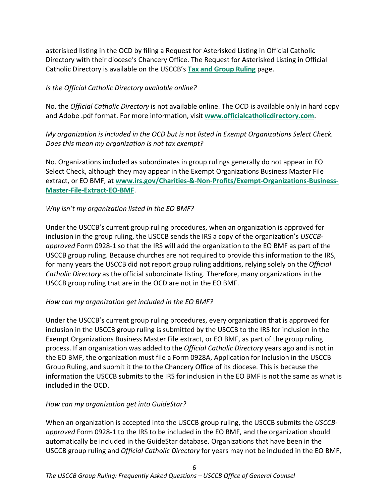asterisked listing in the OCD by filing a Request for Asterisked Listing in Official Catholic Directory with their diocese's Chancery Office. The Request for Asterisked Listing in Official Catholic Directory is available on the USCCB's **[Tax and Group Ruling](http://www.usccb.org/about/general-counsel/tax-and-group-ruling.cfm)** page.

## <span id="page-7-0"></span>*Is the Official Catholic Directory available online?*

No, the *Official Catholic Directory* is not available online. The OCD is available only in hard copy and Adobe .pdf format. For more information, visit **[www.officialcatholicdirectory.com](http://www.officialcatholicdirectory.com/)**.

<span id="page-7-1"></span>*My organization is included in the OCD but is not listed in Exempt Organizations Select Check. Does this mean my organization is not tax exempt?*

No. Organizations included as subordinates in group rulings generally do not appear in EO Select Check, although they may appear in the Exempt Organizations Business Master File extract, or EO BMF, at **[www.irs.gov/Charities-&-Non-Profits/Exempt-Organizations-Business-](http://www.irs.gov/Charities-%26-Non-Profits/Exempt-Organizations-Business-Master-File-Extract-EO-BMF)[Master-File-Extract-EO-BMF](http://www.irs.gov/Charities-%26-Non-Profits/Exempt-Organizations-Business-Master-File-Extract-EO-BMF)**.

## <span id="page-7-2"></span>*Why isn't my organization listed in the EO BMF?*

Under the USCCB's current group ruling procedures, when an organization is approved for inclusion in the group ruling, the USCCB sends the IRS a copy of the organization's *USCCBapproved* Form 0928-1 so that the IRS will add the organization to the EO BMF as part of the USCCB group ruling. Because churches are not required to provide this information to the IRS, for many years the USCCB did not report group ruling additions, relying solely on the *Official Catholic Directory* as the official subordinate listing. Therefore, many organizations in the USCCB group ruling that are in the OCD are not in the EO BMF.

## <span id="page-7-3"></span>*How can my organization get included in the EO BMF?*

Under the USCCB's current group ruling procedures, every organization that is approved for inclusion in the USCCB group ruling is submitted by the USCCB to the IRS for inclusion in the Exempt Organizations Business Master File extract, or EO BMF, as part of the group ruling process. If an organization was added to the *Official Catholic Directory* years ago and is not in the EO BMF, the organization must file a Form 0928A, Application for Inclusion in the USCCB Group Ruling, and submit it the to the Chancery Office of its diocese. This is because the information the USCCB submits to the IRS for inclusion in the EO BMF is not the same as what is included in the OCD.

## <span id="page-7-4"></span>*How can my organization get into GuideStar?*

When an organization is accepted into the USCCB group ruling, the USCCB submits the *USCCBapproved* Form 0928-1 to the IRS to be included in the EO BMF, and the organization should automatically be included in the GuideStar database. Organizations that have been in the USCCB group ruling and *Official Catholic Directory* for years may not be included in the EO BMF,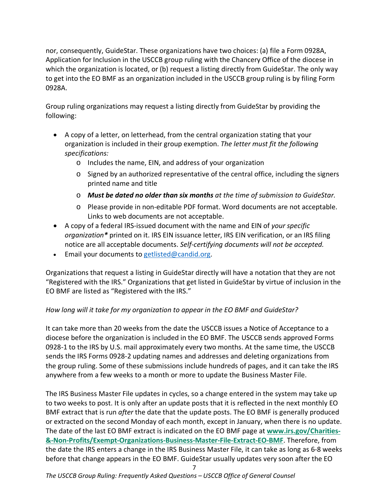nor, consequently, GuideStar. These organizations have two choices: (a) file a Form 0928A, Application for Inclusion in the USCCB group ruling with the Chancery Office of the diocese in which the organization is located, or (b) request a listing directly from GuideStar. The only way to get into the EO BMF as an organization included in the USCCB group ruling is by filing Form 0928A.

Group ruling organizations may request a listing directly from GuideStar by providing the following:

- A copy of a letter, on letterhead, from the central organization stating that your organization is included in their group exemption. *The letter must fit the following specifications:*
	- o Includes the name, EIN, and address of your organization
	- o Signed by an authorized representative of the central office, including the signers printed name and title
	- o *Must be dated no older than six months at the time of submission to GuideStar.*
	- o Please provide in non-editable PDF format. Word documents are not acceptable. Links to web documents are not acceptable.
- A copy of a federal IRS-issued document with the name and EIN of *your specific organization\** printed on it. IRS EIN issuance letter, IRS EIN verification, or an IRS filing notice are all acceptable documents. *Self-certifying documents will not be accepted.*
- Email your documents t[o getlisted@candid.org.](mailto:getlisted@candid.org)

Organizations that request a listing in GuideStar directly will have a notation that they are not "Registered with the IRS." Organizations that get listed in GuideStar by virtue of inclusion in the EO BMF are listed as "Registered with the IRS."

## <span id="page-8-0"></span>*How long will it take for my organization to appear in the EO BMF and GuideStar?*

It can take more than 20 weeks from the date the USCCB issues a Notice of Acceptance to a diocese before the organization is included in the EO BMF. The USCCB sends approved Forms 0928-1 to the IRS by U.S. mail approximately every two months. At the same time, the USCCB sends the IRS Forms 0928-2 updating names and addresses and deleting organizations from the group ruling. Some of these submissions include hundreds of pages, and it can take the IRS anywhere from a few weeks to a month or more to update the Business Master File.

The IRS Business Master File updates in cycles, so a change entered in the system may take up to two weeks to post. It is only after an update posts that it is reflected in the next monthly EO BMF extract that is run *after* the date that the update posts. The EO BMF is generally produced or extracted on the second Monday of each month, except in January, when there is no update. The date of the last EO BMF extract is indicated on the EO BMF page at **[www.irs.gov/Charities-](http://www.irs.gov/Charities-%26-Non-Profits/Exempt-Organizations-Business-Master-File-Extract-EO-BMF) [&-Non-Profits/Exempt-Organizations-Business-Master-File-Extract-EO-BMF](http://www.irs.gov/Charities-%26-Non-Profits/Exempt-Organizations-Business-Master-File-Extract-EO-BMF)**. Therefore, from the date the IRS enters a change in the IRS Business Master File, it can take as long as 6-8 weeks before that change appears in the EO BMF. GuideStar usually updates very soon after the EO

7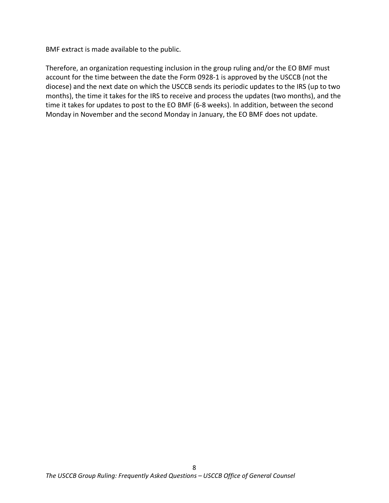BMF extract is made available to the public.

Therefore, an organization requesting inclusion in the group ruling and/or the EO BMF must account for the time between the date the Form 0928-1 is approved by the USCCB (not the diocese) and the next date on which the USCCB sends its periodic updates to the IRS (up to two months), the time it takes for the IRS to receive and process the updates (two months), and the time it takes for updates to post to the EO BMF (6-8 weeks). In addition, between the second Monday in November and the second Monday in January, the EO BMF does not update.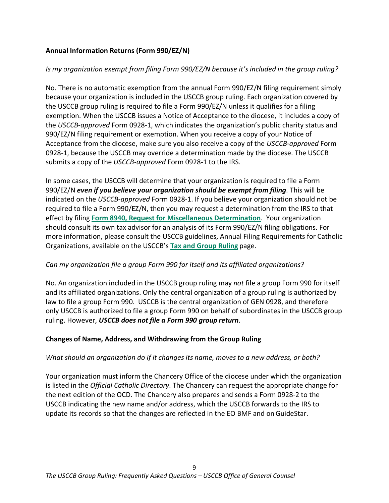## <span id="page-10-0"></span>**Annual Information Returns (Form 990/EZ/N)**

## <span id="page-10-1"></span>*Is my organization exempt from filing Form 990/EZ/N because it's included in the group ruling?*

No. There is no automatic exemption from the annual Form 990/EZ/N filing requirement simply because your organization is included in the USCCB group ruling. Each organization covered by the USCCB group ruling is required to file a Form 990/EZ/N unless it qualifies for a filing exemption. When the USCCB issues a Notice of Acceptance to the diocese, it includes a copy of the *USCCB-approved* Form 0928-1, which indicates the organization's public charity status and 990/EZ/N filing requirement or exemption. When you receive a copy of your Notice of Acceptance from the diocese, make sure you also receive a copy of the *USCCB-approved* Form 0928-1, because the USCCB may override a determination made by the diocese. The USCCB submits a copy of the *USCCB-approved* Form 0928-1 to the IRS.

In some cases, the USCCB will determine that your organization is required to file a Form 990/EZ/N *even if you believe your organization should be exempt from filing*. This will be indicated on the *USCCB-approved* Form 0928-1. If you believe your organization should not be required to file a Form 990/EZ/N, then you may request a determination from the IRS to that effect by filing **[Form 8940, Request for Miscellaneous Determination](http://www.irs.gov/pub/irs-pdf/f8940.pdf)**. Your organization should consult its own tax advisor for an analysis of its Form 990/EZ/N filing obligations. For more information, please consult the USCCB guidelines, Annual Filing Requirements for Catholic Organizations, available on the USCCB's **[Tax and Group Ruling](http://www.usccb.org/about/general-counsel/tax-and-group-ruling.cfm)** page.

## <span id="page-10-2"></span>*Can my organization file a group Form 990 for itself and its affiliated organizations?*

No. An organization included in the USCCB group ruling may *not* file a group Form 990 for itself and its affiliated organizations. Only the central organization of a group ruling is authorized by law to file a group Form 990. USCCB is the central organization of GEN 0928, and therefore only USCCB is authorized to file a group Form 990 on behalf of subordinates in the USCCB group ruling. However, *USCCB does not file a Form 990 group return*.

## <span id="page-10-3"></span>**Changes of Name, Address, and Withdrawing from the Group Ruling**

## <span id="page-10-4"></span>*What should an organization do if it changes its name, moves to a new address, or both?*

Your organization must inform the Chancery Office of the diocese under which the organization is listed in the *Official Catholic Directory*. The Chancery can request the appropriate change for the next edition of the OCD. The Chancery also prepares and sends a Form 0928-2 to the USCCB indicating the new name and/or address, which the USCCB forwards to the IRS to update its records so that the changes are reflected in the EO BMF and onGuideStar.